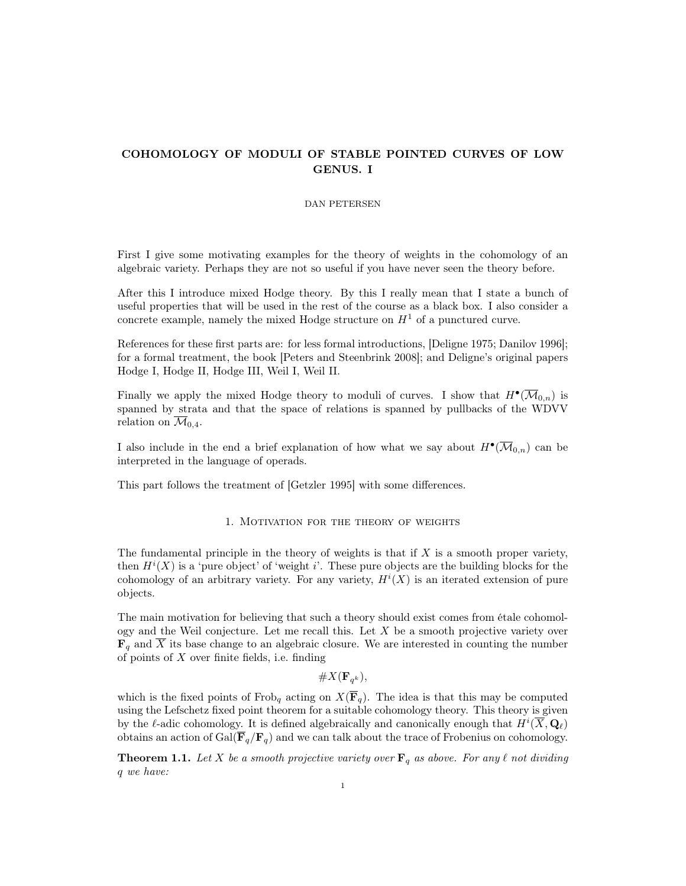# COHOMOLOGY OF MODULI OF STABLE POINTED CURVES OF LOW GENUS. I

### DAN PETERSEN

First I give some motivating examples for the theory of weights in the cohomology of an algebraic variety. Perhaps they are not so useful if you have never seen the theory before.

After this I introduce mixed Hodge theory. By this I really mean that I state a bunch of useful properties that will be used in the rest of the course as a black box. I also consider a concrete example, namely the mixed Hodge structure on  $H<sup>1</sup>$  of a punctured curve.

References for these first parts are: for less formal introductions, [Deligne 1975; Danilov 1996]; for a formal treatment, the book [Peters and Steenbrink 2008]; and Deligne's original papers Hodge I, Hodge II, Hodge III, Weil I, Weil II.

Finally we apply the mixed Hodge theory to moduli of curves. I show that  $H^{\bullet}(\overline{\mathcal{M}}_{0,n})$  is spanned by strata and that the space of relations is spanned by pullbacks of the WDVV relation on  $\mathcal{M}_{0,4}$ .

I also include in the end a brief explanation of how what we say about  $H^{\bullet}(\overline{\mathcal{M}}_{0,n})$  can be interpreted in the language of operads.

This part follows the treatment of [Getzler 1995] with some differences.

### 1. Motivation for the theory of weights

The fundamental principle in the theory of weights is that if  $X$  is a smooth proper variety, then  $H^{i}(X)$  is a 'pure object' of 'weight i'. These pure objects are the building blocks for the cohomology of an arbitrary variety. For any variety,  $H^{i}(X)$  is an iterated extension of pure objects.

The main motivation for believing that such a theory should exist comes from étale cohomology and the Weil conjecture. Let me recall this. Let  $X$  be a smooth projective variety over  $\mathbf{F}_q$  and  $\overline{X}$  its base change to an algebraic closure. We are interested in counting the number of points of  $X$  over finite fields, i.e. finding

 $\#X(\mathbf{F}_{q^k}),$ 

which is the fixed points of Frob<sub>q</sub> acting on  $X(\overline{\mathbf{F}}_q)$ . The idea is that this may be computed using the Lefschetz fixed point theorem for a suitable cohomology theory. This theory is given by the  $\ell$ -adic cohomology. It is defined algebraically and canonically enough that  $H^i(\overline{X}, \mathbf{Q}_\ell)$ obtains an action of Gal( $\overline{\mathbf{F}}_q/\mathbf{F}_q$ ) and we can talk about the trace of Frobenius on cohomology.

**Theorem 1.1.** Let X be a smooth projective variety over  $\mathbf{F}_q$  as above. For any  $\ell$  not dividing q we have: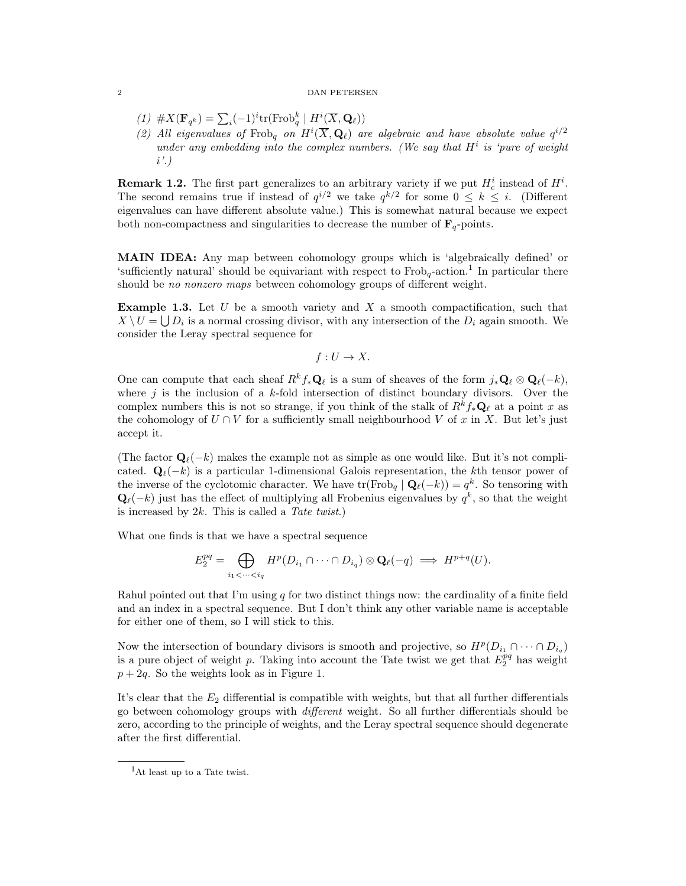- (1)  $\#X(\mathbf{F}_{q^k}) = \sum_i (-1)^i \text{tr}(\text{Frob}_q^k \mid H^i(\overline{X}, \mathbf{Q}_\ell))$
- (2) All eigenvalues of Frob<sub>q</sub> on  $H^i(\overline{X}, \mathbf{Q}_\ell)$  are algebraic and have absolute value  $q^{i/2}$ under any embedding into the complex numbers. (We say that  $H^i$  is 'pure of weight i'.)

**Remark 1.2.** The first part generalizes to an arbitrary variety if we put  $H_c^i$  instead of  $H_c^i$ . The second remains true if instead of  $q^{i/2}$  we take  $q^{k/2}$  for some  $0 \leq k \leq i$ . (Different eigenvalues can have different absolute value.) This is somewhat natural because we expect both non-compactness and singularities to decrease the number of  $\mathbf{F}_q$ -points.

MAIN IDEA: Any map between cohomology groups which is 'algebraically defined' or 'sufficiently natural' should be equivariant with respect to  $Frob_q$ -action.<sup>1</sup> In particular there should be no nonzero maps between cohomology groups of different weight.

**Example 1.3.** Let  $U$  be a smooth variety and  $X$  a smooth compactification, such that  $X \setminus U = \bigcup D_i$  is a normal crossing divisor, with any intersection of the  $D_i$  again smooth. We consider the Leray spectral sequence for

$$
f: U \to X.
$$

One can compute that each sheaf  $R^k f_* \mathbf{Q}_\ell$  is a sum of sheaves of the form  $j_*\mathbf{Q}_\ell \otimes \mathbf{Q}_\ell(-k)$ , where  $j$  is the inclusion of a  $k$ -fold intersection of distinct boundary divisors. Over the complex numbers this is not so strange, if you think of the stalk of  $R^k f_* \mathbf{Q}_\ell$  at a point x as the cohomology of  $U \cap V$  for a sufficiently small neighbourhood V of x in X. But let's just accept it.

(The factor  $\mathbf{Q}_{\ell}(-k)$  makes the example not as simple as one would like. But it's not complicated.  $\mathbf{Q}_{\ell}(-k)$  is a particular 1-dimensional Galois representation, the kth tensor power of the inverse of the cyclotomic character. We have  $\text{tr}(\text{Frob}_q | \mathbf{Q}_{\ell}(-k)) = q^k$ . So tensoring with  $\mathbf{Q}_{\ell}(-k)$  just has the effect of multiplying all Frobenius eigenvalues by  $q^{k}$ , so that the weight is increased by  $2k$ . This is called a Tate twist.)

What one finds is that we have a spectral sequence

$$
E_2^{pq} = \bigoplus_{i_1 < \cdots < i_q} H^p(D_{i_1} \cap \cdots \cap D_{i_q}) \otimes \mathbf{Q}_{\ell}(-q) \implies H^{p+q}(U).
$$

Rahul pointed out that I'm using  $q$  for two distinct things now: the cardinality of a finite field and an index in a spectral sequence. But I don't think any other variable name is acceptable for either one of them, so I will stick to this.

Now the intersection of boundary divisors is smooth and projective, so  $H^p(D_{i_1} \cap \cdots \cap D_{i_q})$ is a pure object of weight p. Taking into account the Tate twist we get that  $E_2^{pq}$  has weight  $p + 2q$ . So the weights look as in Figure 1.

It's clear that the  $E_2$  differential is compatible with weights, but that all further differentials go between cohomology groups with different weight. So all further differentials should be zero, according to the principle of weights, and the Leray spectral sequence should degenerate after the first differential.

<sup>&</sup>lt;sup>1</sup>At least up to a Tate twist.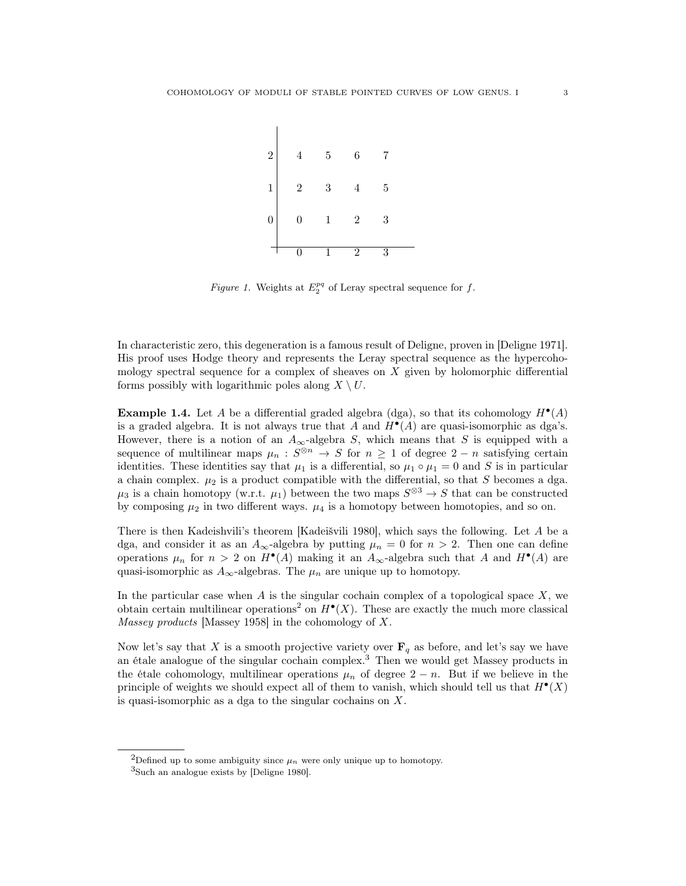

Figure 1. Weights at  $E_2^{pq}$  of Leray spectral sequence for f.

In characteristic zero, this degeneration is a famous result of Deligne, proven in [Deligne 1971]. His proof uses Hodge theory and represents the Leray spectral sequence as the hypercohomology spectral sequence for a complex of sheaves on X given by holomorphic differential forms possibly with logarithmic poles along  $X \setminus U$ .

**Example 1.4.** Let A be a differential graded algebra (dga), so that its cohomology  $H^{\bullet}(A)$ is a graded algebra. It is not always true that A and  $H^{\bullet}(A)$  are quasi-isomorphic as dga's. However, there is a notion of an  $A_{\infty}$ -algebra S, which means that S is equipped with a sequence of multilinear maps  $\mu_n : S^{\otimes n} \to S$  for  $n \geq 1$  of degree  $2 - n$  satisfying certain identities. These identities say that  $\mu_1$  is a differential, so  $\mu_1 \circ \mu_1 = 0$  and S is in particular a chain complex.  $\mu_2$  is a product compatible with the differential, so that S becomes a dga.  $\mu_3$  is a chain homotopy (w.r.t.  $\mu_1$ ) between the two maps  $S^{\otimes 3} \to S$  that can be constructed by composing  $\mu_2$  in two different ways.  $\mu_4$  is a homotopy between homotopies, and so on.

There is then Kadeishvili's theorem [Kadeišvili 1980], which says the following. Let A be a dga, and consider it as an  $A_{\infty}$ -algebra by putting  $\mu_n = 0$  for  $n > 2$ . Then one can define operations  $\mu_n$  for  $n > 2$  on  $H^{\bullet}(A)$  making it an  $A_{\infty}$ -algebra such that A and  $H^{\bullet}(A)$  are quasi-isomorphic as  $A_{\infty}$ -algebras. The  $\mu_n$  are unique up to homotopy.

In the particular case when  $A$  is the singular cochain complex of a topological space  $X$ , we obtain certain multilinear operations<sup>2</sup> on  $H^{\bullet}(X)$ . These are exactly the much more classical Massey products [Massey 1958] in the cohomology of X.

Now let's say that X is a smooth projective variety over  $\mathbf{F}_q$  as before, and let's say we have an étale analogue of the singular cochain complex.<sup>3</sup> Then we would get Massey products in the étale cohomology, multilinear operations  $\mu_n$  of degree  $2 - n$ . But if we believe in the principle of weights we should expect all of them to vanish, which should tell us that  $H^{\bullet}(X)$ is quasi-isomorphic as a dga to the singular cochains on X.

<sup>&</sup>lt;sup>2</sup>Defined up to some ambiguity since  $\mu_n$  were only unique up to homotopy.

<sup>3</sup>Such an analogue exists by [Deligne 1980].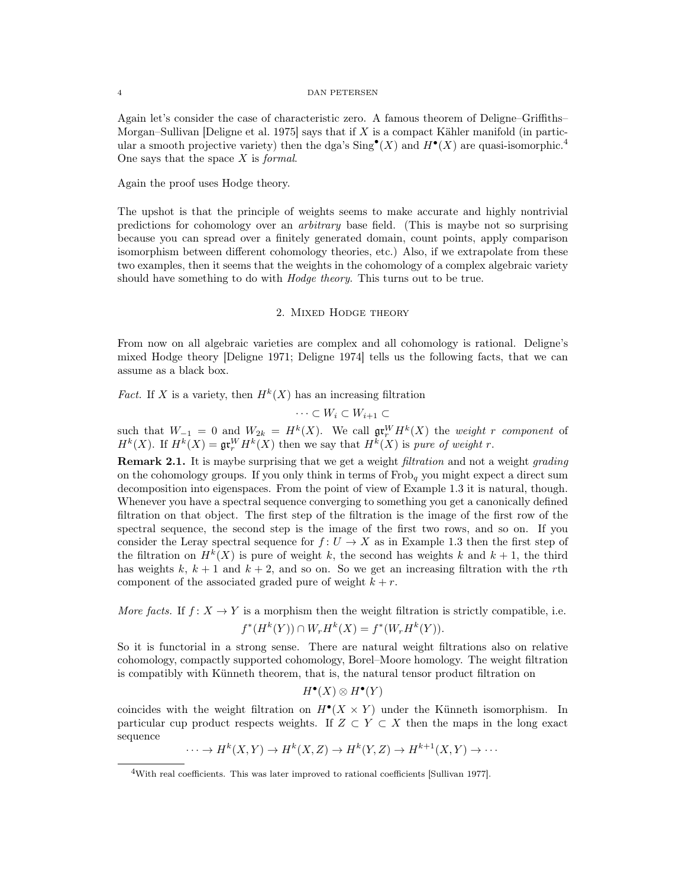Again let's consider the case of characteristic zero. A famous theorem of Deligne–Griffiths– Morgan–Sullivan Deligne et al. 1975 says that if X is a compact Kähler manifold (in particular a smooth projective variety) then the dga's  $\text{Sing}^{\bullet}(X)$  and  $H^{\bullet}(X)$  are quasi-isomorphic.<sup>4</sup> One says that the space  $X$  is *formal*.

Again the proof uses Hodge theory.

The upshot is that the principle of weights seems to make accurate and highly nontrivial predictions for cohomology over an arbitrary base field. (This is maybe not so surprising because you can spread over a finitely generated domain, count points, apply comparison isomorphism between different cohomology theories, etc.) Also, if we extrapolate from these two examples, then it seems that the weights in the cohomology of a complex algebraic variety should have something to do with *Hodge theory*. This turns out to be true.

### 2. Mixed Hodge theory

From now on all algebraic varieties are complex and all cohomology is rational. Deligne's mixed Hodge theory [Deligne 1971; Deligne 1974] tells us the following facts, that we can assume as a black box.

*Fact.* If X is a variety, then  $H^k(X)$  has an increasing filtration

 $\cdots \subset W_i \subset W_{i+1} \subset$ 

such that  $W_{-1} = 0$  and  $W_{2k} = H^k(X)$ . We call  $\mathfrak{gr}^W_r H^k(X)$  the weight r component of  $H^k(X)$ . If  $H^k(X) = \mathfrak{gr}^W_r H^k(X)$  then we say that  $H^k(X)$  is pure of weight r.

Remark 2.1. It is maybe surprising that we get a weight *filtration* and not a weight *grading* on the cohomology groups. If you only think in terms of  $Frob<sub>q</sub>$  you might expect a direct sum decomposition into eigenspaces. From the point of view of Example 1.3 it is natural, though. Whenever you have a spectral sequence converging to something you get a canonically defined filtration on that object. The first step of the filtration is the image of the first row of the spectral sequence, the second step is the image of the first two rows, and so on. If you consider the Leray spectral sequence for  $f: U \to X$  as in Example 1.3 then the first step of the filtration on  $H^k(X)$  is pure of weight k, the second has weights k and  $k+1$ , the third has weights k,  $k + 1$  and  $k + 2$ , and so on. So we get an increasing filtration with the rth component of the associated graded pure of weight  $k + r$ .

More facts. If  $f: X \to Y$  is a morphism then the weight filtration is strictly compatible, i.e.  $f^*(H^k(Y)) \cap W_r H^k(X) = f^*(W_r H^k(Y)).$ 

So it is functorial in a strong sense. There are natural weight filtrations also on relative cohomology, compactly supported cohomology, Borel–Moore homology. The weight filtration is compatibly with Künneth theorem, that is, the natural tensor product filtration on

$$
H^{\bullet}(X) \otimes H^{\bullet}(Y)
$$

coincides with the weight filtration on  $H^{\bullet}(X \times Y)$  under the Künneth isomorphism. In particular cup product respects weights. If  $Z \subset Y \subset X$  then the maps in the long exact sequence

 $\cdots \to H^k(X,Y) \to H^k(X,Z) \to H^k(Y,Z) \to H^{k+1}(X,Y) \to \cdots$ 

<sup>&</sup>lt;sup>4</sup>With real coefficients. This was later improved to rational coefficients [Sullivan 1977].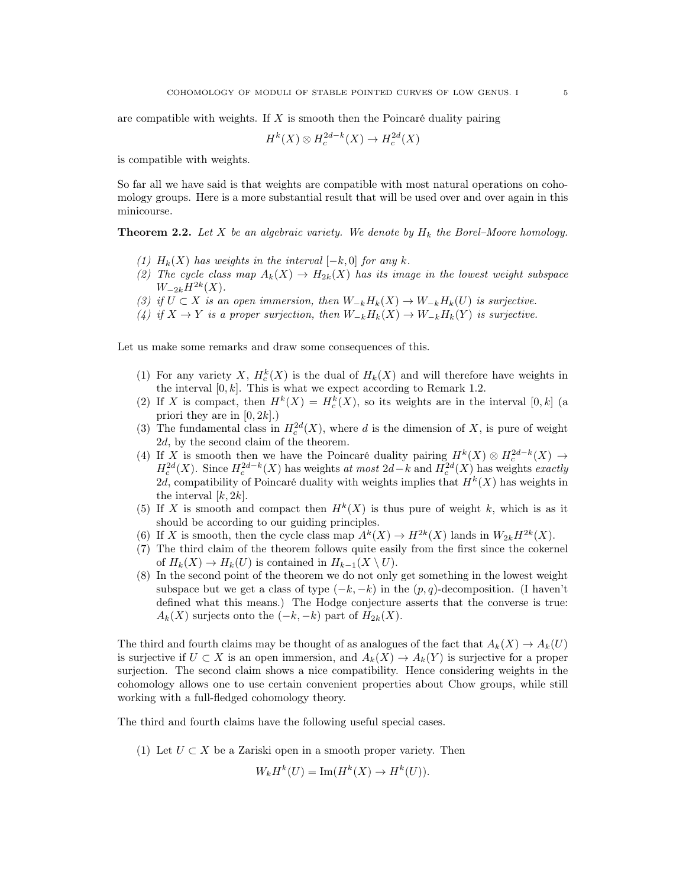are compatible with weights. If  $X$  is smooth then the Poincaré duality pairing

$$
H^k(X) \otimes H^{2d-k}_c(X) \to H^{2d}_c(X)
$$

is compatible with weights.

So far all we have said is that weights are compatible with most natural operations on cohomology groups. Here is a more substantial result that will be used over and over again in this minicourse.

**Theorem 2.2.** Let X be an algebraic variety. We denote by  $H_k$  the Borel–Moore homology.

- (1)  $H_k(X)$  has weights in the interval  $[-k, 0]$  for any k.
- (2) The cycle class map  $A_k(X) \to H_{2k}(X)$  has its image in the lowest weight subspace  $W_{-2k}H^{2k}(X)$ .
- (3) if  $U \subset X$  is an open immersion, then  $W_{-k}H_k(X) \to W_{-k}H_k(U)$  is surjective.
- (4) if  $X \to Y$  is a proper surjection, then  $W_{-k}H_k(X) \to W_{-k}H_k(Y)$  is surjective.

Let us make some remarks and draw some consequences of this.

- (1) For any variety X,  $H_c^k(X)$  is the dual of  $H_k(X)$  and will therefore have weights in the interval  $[0, k]$ . This is what we expect according to Remark 1.2.
- (2) If X is compact, then  $H^k(X) = H_c^k(X)$ , so its weights are in the interval [0, k] (a priori they are in  $[0, 2k]$ .
- (3) The fundamental class in  $H_c^{2d}(X)$ , where d is the dimension of X, is pure of weight 2d, by the second claim of the theorem.
- (4) If X is smooth then we have the Poincaré duality pairing  $H^k(X) \otimes H_c^{2d-k}(X) \to$  $H_c^{2d}(X)$ . Since  $H_c^{2d-k}(X)$  has weights at most  $2d-k$  and  $H_c^{2d}(X)$  has weights exactly 2d, compatibility of Poincaré duality with weights implies that  $H^k(X)$  has weights in the interval  $[k, 2k]$ .
- (5) If X is smooth and compact then  $H^k(X)$  is thus pure of weight k, which is as it should be according to our guiding principles.
- (6) If X is smooth, then the cycle class map  $A^k(X) \to H^{2k}(X)$  lands in  $W_{2k}H^{2k}(X)$ .
- (7) The third claim of the theorem follows quite easily from the first since the cokernel of  $H_k(X) \to H_k(U)$  is contained in  $H_{k-1}(X \setminus U)$ .
- (8) In the second point of the theorem we do not only get something in the lowest weight subspace but we get a class of type  $(-k, -k)$  in the  $(p, q)$ -decomposition. (I haven't defined what this means.) The Hodge conjecture asserts that the converse is true:  $A_k(X)$  surjects onto the  $(-k, -k)$  part of  $H_{2k}(X)$ .

The third and fourth claims may be thought of as analogues of the fact that  $A_k(X) \to A_k(U)$ is surjective if  $U \subset X$  is an open immersion, and  $A_k(X) \to A_k(Y)$  is surjective for a proper surjection. The second claim shows a nice compatibility. Hence considering weights in the cohomology allows one to use certain convenient properties about Chow groups, while still working with a full-fledged cohomology theory.

The third and fourth claims have the following useful special cases.

(1) Let  $U \subset X$  be a Zariski open in a smooth proper variety. Then

$$
W_k H^k(U) = \operatorname{Im} (H^k(X) \to H^k(U)).
$$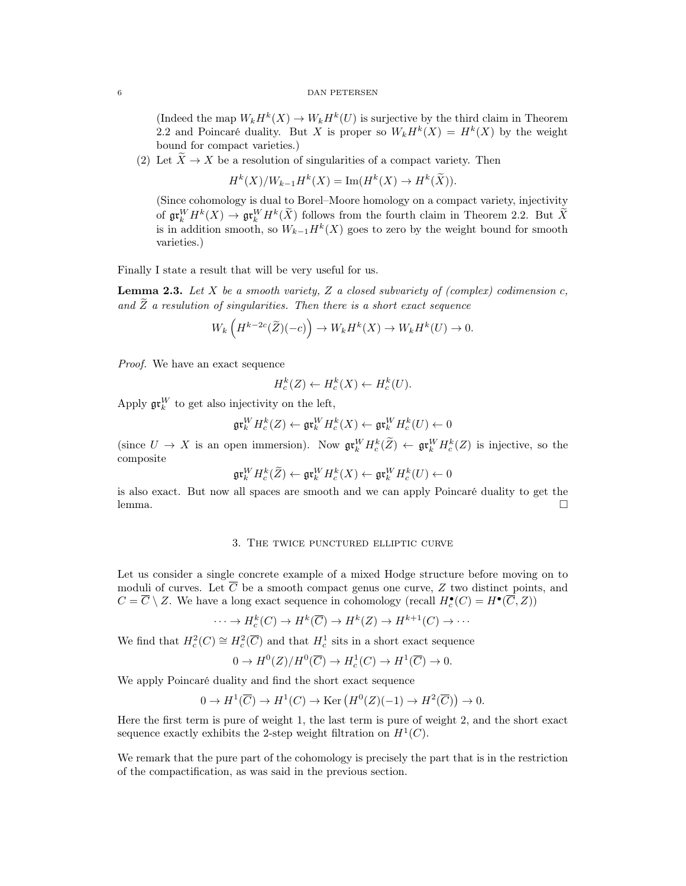(Indeed the map  $W_k H^k(X) \to W_k H^k(U)$  is surjective by the third claim in Theorem 2.2 and Poincaré duality. But X is proper so  $W_k H^k(X) = H^k(X)$  by the weight bound for compact varieties.)

(2) Let  $\widetilde{X} \to X$  be a resolution of singularities of a compact variety. Then

$$
H^k(X)/W_{k-1}H^k(X) = \operatorname{Im}(H^k(X) \to H^k(\widetilde{X})).
$$

(Since cohomology is dual to Borel–Moore homology on a compact variety, injectivity of  $\operatorname{gr}^W_H H^k(X) \to \operatorname{gr}^W_H H^k(\widetilde{X})$  follows from the fourth claim in Theorem 2.2. But  $\widetilde{X}$ is in addition smooth, so  $W_{k-1}H^k(X)$  goes to zero by the weight bound for smooth varieties.)

Finally I state a result that will be very useful for us.

**Lemma 2.3.** Let  $X$  be a smooth variety,  $Z$  a closed subvariety of (complex) codimension  $c$ , and  $\widetilde{Z}$  a resulution of singularities. Then there is a short exact sequence

$$
W_k\left(H^{k-2c}(\widetilde{Z})(-c)\right) \to W_k H^k(X) \to W_k H^k(U) \to 0.
$$

Proof. We have an exact sequence

$$
H_c^k(Z) \leftarrow H_c^k(X) \leftarrow H_c^k(U).
$$

Apply  $\mathfrak{gr}^W_k$  to get also injectivity on the left,

$$
\mathfrak{gr}^W_kH^k_c(Z)\leftarrow\mathfrak{gr}^W_kH^k_c(X)\leftarrow\mathfrak{gr}^W_kH^k_c(U)\leftarrow 0
$$

(since  $U \to X$  is an open immersion). Now  $\mathfrak{gr}_k^W H_c^k(\tilde{Z}) \leftarrow \mathfrak{gr}_k^W H_c^k(Z)$  is injective, so the composite

$$
\mathfrak{gr}^W_k H^k_c(\widetilde{Z}) \leftarrow \mathfrak{gr}^W_k H^k_c(X) \leftarrow \mathfrak{gr}^W_k H^k_c(U) \leftarrow 0
$$

is also exact. But now all spaces are smooth and we can apply Poincaré duality to get the lemma. □

### 3. The twice punctured elliptic curve

Let us consider a single concrete example of a mixed Hodge structure before moving on to moduli of curves. Let  $\overline{C}$  be a smooth compact genus one curve, Z two distinct points, and  $C = \overline{C} \setminus Z$ . We have a long exact sequence in cohomology (recall  $H_c^{\bullet}(C) = H^{\bullet}(\overline{C}, Z)$ )

$$
\cdots \to H_c^k(C) \to H^k(\overline{C}) \to H^k(Z) \to H^{k+1}(C) \to \cdots
$$

We find that  $H_c^2(C) \cong H_c^2(\overline{C})$  and that  $H_c^1$  sits in a short exact sequence

$$
0 \to H^0(Z)/H^0(\overline{C}) \to H^1_c(C) \to H^1(\overline{C}) \to 0.
$$

We apply Poincaré duality and find the short exact sequence

$$
0 \to H^1(\overline{C}) \to H^1(C) \to \text{Ker}(H^0(Z)(-1) \to H^2(\overline{C})) \to 0.
$$

Here the first term is pure of weight 1, the last term is pure of weight 2, and the short exact sequence exactly exhibits the 2-step weight filtration on  $H^1(C)$ .

We remark that the pure part of the cohomology is precisely the part that is in the restriction of the compactification, as was said in the previous section.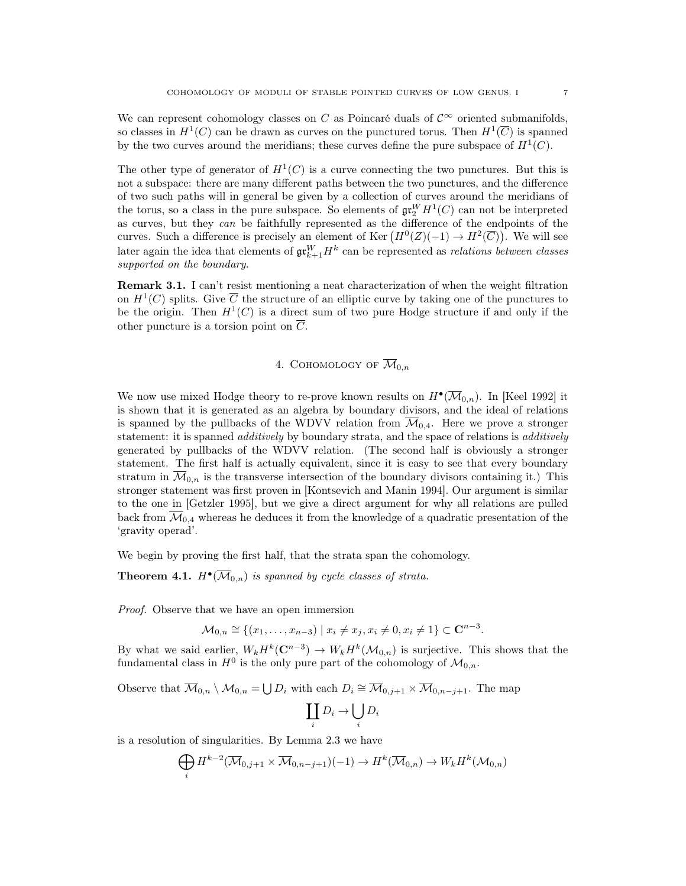We can represent cohomology classes on C as Poincaré duals of  $\mathcal{C}^{\infty}$  oriented submanifolds, so classes in  $H^1(C)$  can be drawn as curves on the punctured torus. Then  $H^1(\overline{C})$  is spanned by the two curves around the meridians; these curves define the pure subspace of  $H^1(C)$ .

The other type of generator of  $H^1(C)$  is a curve connecting the two punctures. But this is not a subspace: there are many different paths between the two punctures, and the difference of two such paths will in general be given by a collection of curves around the meridians of the torus, so a class in the pure subspace. So elements of  $\mathfrak{gr}^W_2H^1(C)$  can not be interpreted as curves, but they can be faithfully represented as the difference of the endpoints of the curves. Such a difference is precisely an element of Ker  $(H^0(Z)(-1) \to H^2(\overline{C}))$ . We will see Later again the idea that elements of  $\mathfrak{gr}^W_{k+1}H^k$  can be represented as *relations between classes* supported on the boundary.

Remark 3.1. I can't resist mentioning a neat characterization of when the weight filtration on  $H^1(C)$  splits. Give  $\overline{C}$  the structure of an elliptic curve by taking one of the punctures to be the origin. Then  $H^1(C)$  is a direct sum of two pure Hodge structure if and only if the other puncture is a torsion point on  $\overline{C}$ .

# 4. COHOMOLOGY OF  $\overline{\mathcal{M}}_{0,n}$

We now use mixed Hodge theory to re-prove known results on  $H^{\bullet}(\overline{\mathcal{M}}_{0,n})$ . In [Keel 1992] it is shown that it is generated as an algebra by boundary divisors, and the ideal of relations is spanned by the pullbacks of the WDVV relation from  $\overline{\mathcal{M}}_{0,4}$ . Here we prove a stronger statement: it is spanned *additively* by boundary strata, and the space of relations is *additively* generated by pullbacks of the WDVV relation. (The second half is obviously a stronger statement. The first half is actually equivalent, since it is easy to see that every boundary stratum in  $\mathcal{M}_{0,n}$  is the transverse intersection of the boundary divisors containing it.) This stronger statement was first proven in [Kontsevich and Manin 1994]. Our argument is similar to the one in [Getzler 1995], but we give a direct argument for why all relations are pulled back from  $\overline{\mathcal{M}}_{0,4}$  whereas he deduces it from the knowledge of a quadratic presentation of the 'gravity operad'.

We begin by proving the first half, that the strata span the cohomology.

**Theorem 4.1.**  $H^{\bullet}(\overline{\mathcal{M}}_{0,n})$  is spanned by cycle classes of strata.

Proof. Observe that we have an open immersion

$$
\mathcal{M}_{0,n} \cong \{(x_1,\ldots,x_{n-3}) \mid x_i \neq x_j, x_i \neq 0, x_i \neq 1\} \subset \mathbf{C}^{n-3}.
$$

By what we said earlier,  $W_k H^k(\mathbb{C}^{n-3}) \to W_k H^k(\mathcal{M}_{0,n})$  is surjective. This shows that the fundamental class in  $H^0$  is the only pure part of the cohomology of  $\mathcal{M}_{0,n}$ .

Observe that  $\overline{\mathcal{M}}_{0,n} \setminus \mathcal{M}_{0,n} = \bigcup D_i$  with each  $D_i \cong \overline{\mathcal{M}}_{0,j+1} \times \overline{\mathcal{M}}_{0,n-j+1}$ . The map

$$
\coprod_i D_i \to \bigcup_i D_i
$$

is a resolution of singularities. By Lemma 2.3 we have

$$
\bigoplus_i H^{k-2}(\overline{\mathcal{M}}_{0,j+1} \times \overline{\mathcal{M}}_{0,n-j+1})(-1) \to H^k(\overline{\mathcal{M}}_{0,n}) \to W_k H^k(\mathcal{M}_{0,n})
$$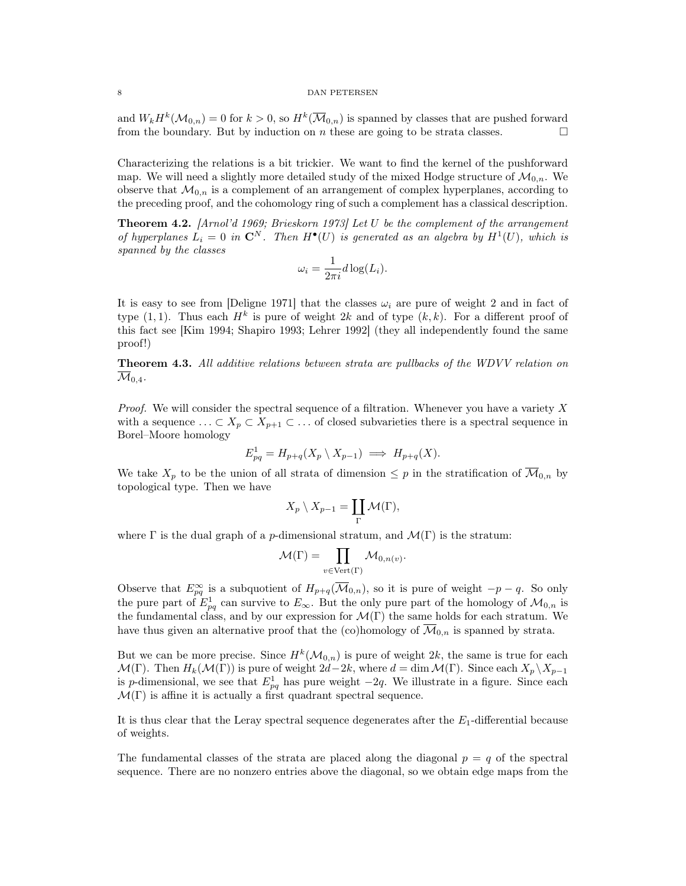and  $W_k H^k(\mathcal{M}_{0,n}) = 0$  for  $k > 0$ , so  $H^k(\overline{\mathcal{M}}_{0,n})$  is spanned by classes that are pushed forward from the boundary. But by induction on  $n$  these are going to be strata classes.

Characterizing the relations is a bit trickier. We want to find the kernel of the pushforward map. We will need a slightly more detailed study of the mixed Hodge structure of  $\mathcal{M}_{0,n}$ . We observe that  $\mathcal{M}_{0,n}$  is a complement of an arrangement of complex hyperplanes, according to the preceding proof, and the cohomology ring of such a complement has a classical description.

Theorem 4.2. [Arnol'd 1969; Brieskorn 1973] Let U be the complement of the arrangement of hyperplanes  $L_i = 0$  in  $\mathbb{C}^N$ . Then  $H^{\bullet}(U)$  is generated as an algebra by  $H^1(U)$ , which is spanned by the classes

$$
\omega_i = \frac{1}{2\pi i} d\log(L_i).
$$

It is easy to see from [Deligne 1971] that the classes  $\omega_i$  are pure of weight 2 and in fact of type  $(1, 1)$ . Thus each  $H^k$  is pure of weight 2k and of type  $(k, k)$ . For a different proof of this fact see [Kim 1994; Shapiro 1993; Lehrer 1992] (they all independently found the same proof!)

Theorem 4.3. All additive relations between strata are pullbacks of the WDVV relation on  $\mathcal{M}_{0,4}$ .

*Proof.* We will consider the spectral sequence of a filtration. Whenever you have a variety  $X$ with a sequence  $\ldots \subset X_p \subset X_{p+1} \subset \ldots$  of closed subvarieties there is a spectral sequence in Borel–Moore homology

$$
E_{pq}^1 = H_{p+q}(X_p \setminus X_{p-1}) \implies H_{p+q}(X).
$$

We take  $X_p$  to be the union of all strata of dimension  $\leq p$  in the stratification of  $\overline{\mathcal{M}}_{0,n}$  by topological type. Then we have

$$
X_p \setminus X_{p-1} = \coprod_{\Gamma} \mathcal{M}(\Gamma),
$$

where  $\Gamma$  is the dual graph of a p-dimensional stratum, and  $\mathcal{M}(\Gamma)$  is the stratum:

$$
\mathcal{M}(\Gamma) = \prod_{v \in \text{Vert}(\Gamma)} \mathcal{M}_{0,n(v)}.
$$

Observe that  $E_{pq}^{\infty}$  is a subquotient of  $H_{p+q}(\overline{\mathcal{M}}_{0,n})$ , so it is pure of weight  $-p-q$ . So only the pure part of  $E_{pq}^1$  can survive to  $E_{\infty}$ . But the only pure part of the homology of  $\mathcal{M}_{0,n}$  is the fundamental class, and by our expression for  $\mathcal{M}(\Gamma)$  the same holds for each stratum. We have thus given an alternative proof that the (co)homology of  $\overline{\mathcal{M}}_{0,n}$  is spanned by strata.

But we can be more precise. Since  $H^k(\mathcal{M}_{0,n})$  is pure of weight  $2k$ , the same is true for each  $\mathcal{M}(\Gamma)$ . Then  $H_k(\mathcal{M}(\Gamma))$  is pure of weight  $2d-2k$ , where  $d = \dim \mathcal{M}(\Gamma)$ . Since each  $X_p \setminus X_{p-1}$ is p-dimensional, we see that  $E_{pq}^1$  has pure weight  $-2q$ . We illustrate in a figure. Since each  $\mathcal{M}(\Gamma)$  is affine it is actually a first quadrant spectral sequence.

It is thus clear that the Leray spectral sequence degenerates after the  $E_1$ -differential because of weights.

The fundamental classes of the strata are placed along the diagonal  $p = q$  of the spectral sequence. There are no nonzero entries above the diagonal, so we obtain edge maps from the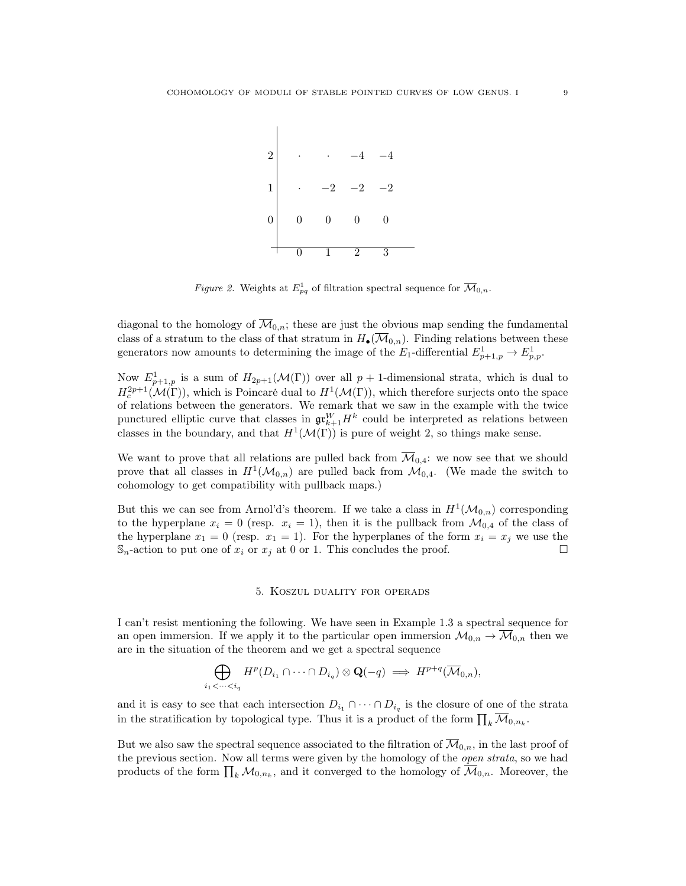

Figure 2. Weights at  $E_{pq}^1$  of filtration spectral sequence for  $\overline{\mathcal{M}}_{0,n}$ .

diagonal to the homology of  $\overline{\mathcal{M}}_{0,n}$ ; these are just the obvious map sending the fundamental class of a stratum to the class of that stratum in  $H_{\bullet}(\overline{\mathcal{M}}_{0,n})$ . Finding relations between these generators now amounts to determining the image of the  $E_1$ -differential  $E_{p+1,p}^1 \to E_{p,p}^1$ .

Now  $E^1_{p+1,p}$  is a sum of  $H_{2p+1}(\mathcal{M}(\Gamma))$  over all  $p+1$ -dimensional strata, which is dual to  $H_c^{2p+1}(\mathcal{M}(\Gamma))$ , which is Poincaré dual to  $H^1(\mathcal{M}(\Gamma))$ , which therefore surjects onto the space of relations between the generators. We remark that we saw in the example with the twice punctured elliptic curve that classes in  $\mathfrak{gr}^W_{k+1}H^k$  could be interpreted as relations between classes in the boundary, and that  $H^1(\mathcal{M}(\Gamma))$  is pure of weight 2, so things make sense.

We want to prove that all relations are pulled back from  $\overline{\mathcal{M}}_{0,4}$ : we now see that we should prove that all classes in  $H^1(\mathcal{M}_{0,n})$  are pulled back from  $\mathcal{M}_{0,4}$ . (We made the switch to cohomology to get compatibility with pullback maps.)

But this we can see from Arnol'd's theorem. If we take a class in  $H^1(\mathcal{M}_{0,n})$  corresponding to the hyperplane  $x_i = 0$  (resp.  $x_i = 1$ ), then it is the pullback from  $\mathcal{M}_{0,4}$  of the class of the hyperplane  $x_1 = 0$  (resp.  $x_1 = 1$ ). For the hyperplanes of the form  $x_i = x_j$  we use the  $\mathbb{S}_n$ -action to put one of  $x_i$  or  $x_j$  at 0 or 1. This concludes the proof.

### 5. Koszul duality for operads

I can't resist mentioning the following. We have seen in Example 1.3 a spectral sequence for an open immersion. If we apply it to the particular open immersion  $\mathcal{M}_{0,n} \to \overline{\mathcal{M}}_{0,n}$  then we are in the situation of the theorem and we get a spectral sequence

$$
\bigoplus_{i_1<\cdots
$$

and it is easy to see that each intersection  $D_{i_1} \cap \cdots \cap D_{i_q}$  is the closure of one of the strata in the stratification by topological type. Thus it is a product of the form  $\prod_k \overline{\mathcal{M}}_{0,n_k}$ .

But we also saw the spectral sequence associated to the filtration of  $\overline{\mathcal{M}}_{0,n}$ , in the last proof of the previous section. Now all terms were given by the homology of the open strata, so we had products of the form  $\prod_k \mathcal{M}_{0,n_k}$ , and it converged to the homology of  $\overline{\mathcal{M}}_{0,n}$ . Moreover, the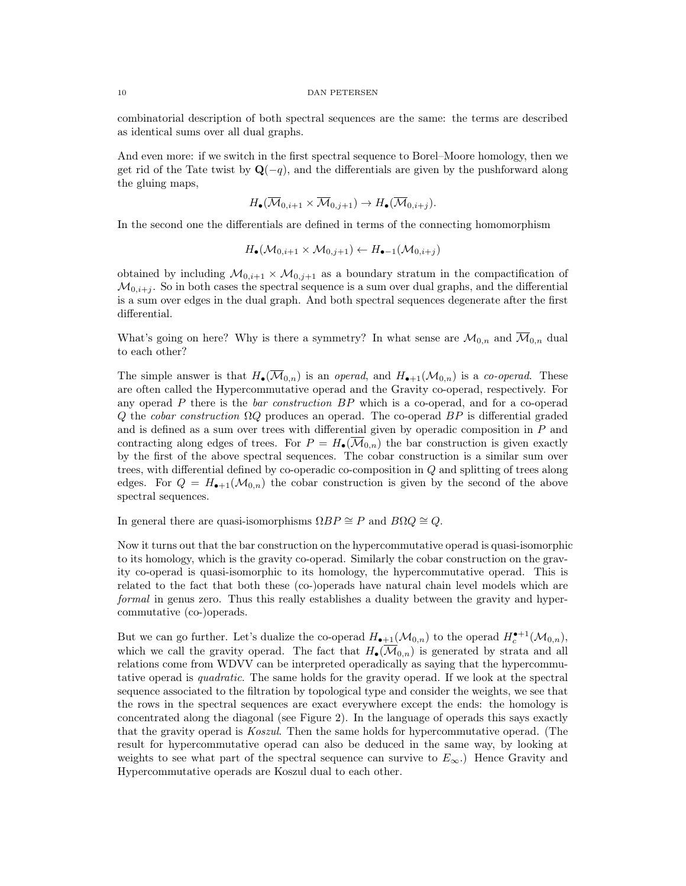combinatorial description of both spectral sequences are the same: the terms are described as identical sums over all dual graphs.

And even more: if we switch in the first spectral sequence to Borel–Moore homology, then we get rid of the Tate twist by  $\mathbf{Q}(-q)$ , and the differentials are given by the pushforward along the gluing maps,

$$
H_{\bullet}(\overline{\mathcal{M}}_{0,i+1} \times \overline{\mathcal{M}}_{0,j+1}) \to H_{\bullet}(\overline{\mathcal{M}}_{0,i+j}).
$$

In the second one the differentials are defined in terms of the connecting homomorphism

$$
H_{\bullet}(\mathcal{M}_{0,i+1} \times \mathcal{M}_{0,j+1}) \leftarrow H_{\bullet-1}(\mathcal{M}_{0,i+j})
$$

obtained by including  $\mathcal{M}_{0,i+1} \times \mathcal{M}_{0,j+1}$  as a boundary stratum in the compactification of  $\mathcal{M}_{0,i+j}$ . So in both cases the spectral sequence is a sum over dual graphs, and the differential is a sum over edges in the dual graph. And both spectral sequences degenerate after the first differential.

What's going on here? Why is there a symmetry? In what sense are  $\mathcal{M}_{0,n}$  and  $\overline{\mathcal{M}}_{0,n}$  dual to each other?

The simple answer is that  $H_{\bullet}(\overline{\mathcal{M}}_{0,n})$  is an *operad*, and  $H_{\bullet+1}(\mathcal{M}_{0,n})$  is a *co-operad*. These are often called the Hypercommutative operad and the Gravity co-operad, respectively. For any operad  $P$  there is the *bar construction BP* which is a co-operad, and for a co-operad Q the cobar construction  $\Omega Q$  produces an operad. The co-operad  $BP$  is differential graded and is defined as a sum over trees with differential given by operadic composition in P and contracting along edges of trees. For  $P = H_{\bullet}(\overline{\mathcal{M}}_{0,n})$  the bar construction is given exactly by the first of the above spectral sequences. The cobar construction is a similar sum over trees, with differential defined by co-operadic co-composition in Q and splitting of trees along edges. For  $Q = H_{\bullet+1}(M_{0,n})$  the cobar construction is given by the second of the above spectral sequences.

In general there are quasi-isomorphisms  $\Omega BP \cong P$  and  $B\Omega Q \cong Q$ .

Now it turns out that the bar construction on the hypercommutative operad is quasi-isomorphic to its homology, which is the gravity co-operad. Similarly the cobar construction on the gravity co-operad is quasi-isomorphic to its homology, the hypercommutative operad. This is related to the fact that both these (co-)operads have natural chain level models which are formal in genus zero. Thus this really establishes a duality between the gravity and hypercommutative (co-)operads.

But we can go further. Let's dualize the co-operad  $H_{\bullet+1}(\mathcal{M}_{0,n})$  to the operad  $H_c^{\bullet+1}(\mathcal{M}_{0,n}),$ which we call the gravity operad. The fact that  $H_{\bullet}(\overline{\mathcal{M}}_{0,n})$  is generated by strata and all relations come from WDVV can be interpreted operadically as saying that the hypercommutative operad is quadratic. The same holds for the gravity operad. If we look at the spectral sequence associated to the filtration by topological type and consider the weights, we see that the rows in the spectral sequences are exact everywhere except the ends: the homology is concentrated along the diagonal (see Figure 2). In the language of operads this says exactly that the gravity operad is Koszul. Then the same holds for hypercommutative operad. (The result for hypercommutative operad can also be deduced in the same way, by looking at weights to see what part of the spectral sequence can survive to  $E_{\infty}$ .) Hence Gravity and Hypercommutative operads are Koszul dual to each other.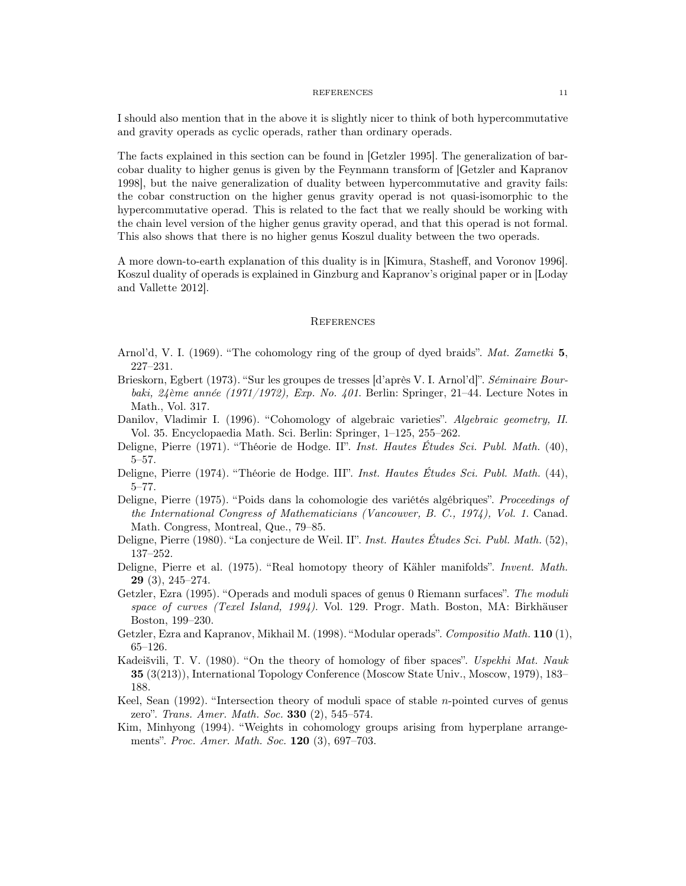#### REFERENCES 11

I should also mention that in the above it is slightly nicer to think of both hypercommutative and gravity operads as cyclic operads, rather than ordinary operads.

The facts explained in this section can be found in [Getzler 1995]. The generalization of barcobar duality to higher genus is given by the Feynmann transform of [Getzler and Kapranov 1998], but the naive generalization of duality between hypercommutative and gravity fails: the cobar construction on the higher genus gravity operad is not quasi-isomorphic to the hypercommutative operad. This is related to the fact that we really should be working with the chain level version of the higher genus gravity operad, and that this operad is not formal. This also shows that there is no higher genus Koszul duality between the two operads.

A more down-to-earth explanation of this duality is in [Kimura, Stasheff, and Voronov 1996]. Koszul duality of operads is explained in Ginzburg and Kapranov's original paper or in [Loday and Vallette 2012].

### **REFERENCES**

- Arnol'd, V. I. (1969). "The cohomology ring of the group of dyed braids". Mat. Zametki 5, 227–231.
- Brieskorn, Egbert (1973). "Sur les groupes de tresses [d'après V. I. Arnol'd]". Séminaire Bourbaki, 24ème année (1971/1972), Exp. No. 401. Berlin: Springer, 21–44. Lecture Notes in Math., Vol. 317.
- Danilov, Vladimir I. (1996). "Cohomology of algebraic varieties". Algebraic geometry, II. Vol. 35. Encyclopaedia Math. Sci. Berlin: Springer, 1–125, 255–262.
- Deligne, Pierre (1971). "Théorie de Hodge. II". Inst. Hautes Études Sci. Publ. Math. (40), 5–57.
- Deligne, Pierre (1974). "Théorie de Hodge. III". Inst. Hautes Études Sci. Publ. Math. (44), 5–77.
- Deligne, Pierre (1975). "Poids dans la cohomologie des variétés algébriques". Proceedings of the International Congress of Mathematicians (Vancouver, B. C., 1974), Vol. 1. Canad. Math. Congress, Montreal, Que., 79–85.
- Deligne, Pierre (1980). "La conjecture de Weil. II". Inst. Hautes Études Sci. Publ. Math. (52), 137–252.
- Deligne, Pierre et al. (1975). "Real homotopy theory of Kähler manifolds". Invent. Math. 29 (3), 245–274.
- Getzler, Ezra (1995). "Operads and moduli spaces of genus 0 Riemann surfaces". The moduli space of curves (Texel Island, 1994). Vol. 129. Progr. Math. Boston, MA: Birkhäuser Boston, 199–230.
- Getzler, Ezra and Kapranov, Mikhail M. (1998). "Modular operads". Compositio Math. 110 (1), 65–126.
- Kadeišvili, T. V. (1980). "On the theory of homology of fiber spaces". Uspekhi Mat. Nauk 35 (3(213)), International Topology Conference (Moscow State Univ., Moscow, 1979), 183– 188.
- Keel, Sean  $(1992)$ . "Intersection theory of moduli space of stable *n*-pointed curves of genus zero". Trans. Amer. Math. Soc. 330 (2), 545–574.
- Kim, Minhyong (1994). "Weights in cohomology groups arising from hyperplane arrangements". Proc. Amer. Math. Soc. 120 (3), 697–703.